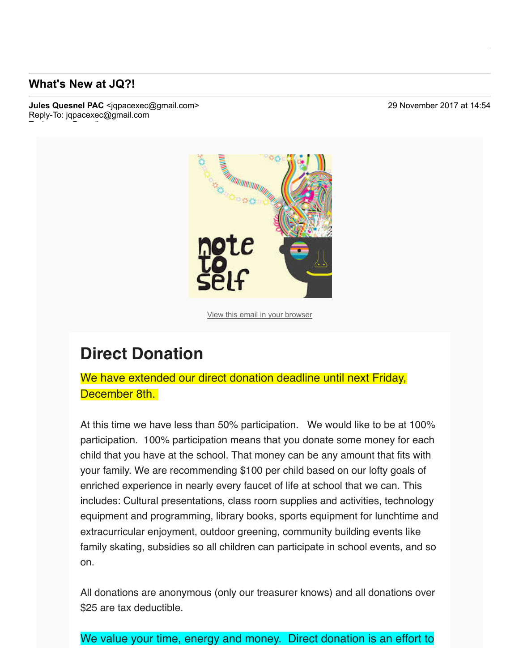## **What's New at JQ?!**

To: luvanvo@gmail.com

**Jules Quesnel PAC** <igpacexec@gmail.com> 29 November 2017 at 14:54 Reply-To: jqpacexec@gmail.com

**Lu Vo <luvanvo@gmail.com>**



View this email in your browser

## **Direct Donation**

We have extended our direct donation deadline until next Friday, December 8th.

At this time we have less than 50% participation. We would like to be at 100% participation. 100% participation means that you donate some money for each child that you have at the school. That money can be any amount that fits with your family. We are recommending \$100 per child based on our lofty goals of enriched experience in nearly every faucet of life at school that we can. This includes: Cultural presentations, class room supplies and activities, technology equipment and programming, library books, sports equipment for lunchtime and extracurricular enjoyment, outdoor greening, community building events like family skating, subsidies so all children can participate in school events, and so on.

All donations are anonymous (only our treasurer knows) and all donations over \$25 are tax deductible.

We value your time, energy and money. Direct donation is an effort to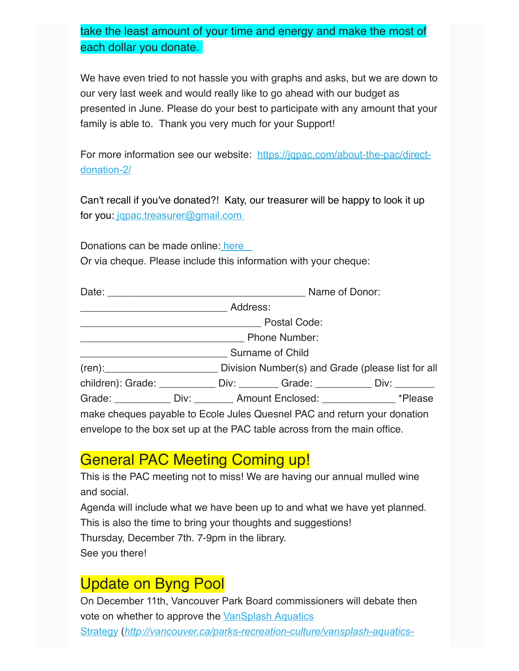take the least amount of your time and energy and make the most of each dollar you donate.

We have even tried to not hassle you with graphs and asks, but we are down to our very last week and would really like to go ahead with our budget as presented in June. Please do your best to participate with any amount that your family is able to. Thank you very much for your Support!

For more information see our website: https://jqpac.com/about-the-pac/directdonation-2/

Can't recall if you've donated?! Katy, our treasurer will be happy to look it up for you: jqpac.treasurer@gmail.com

Donations can be made online: here

Or via cheque. Please include this information with your cheque:

| Surname of Child |  |                                              |                                                                          |                                                                                     |  |
|------------------|--|----------------------------------------------|--------------------------------------------------------------------------|-------------------------------------------------------------------------------------|--|
|                  |  |                                              |                                                                          |                                                                                     |  |
|                  |  |                                              |                                                                          | children): Grade: ______________ Div: __________ Grade: _____________ Div: ________ |  |
|                  |  | Grade: Div: Div: Amount Enclosed: *** Please |                                                                          |                                                                                     |  |
|                  |  |                                              | make cheques payable to Ecole Jules Quesnel PAC and return your donation |                                                                                     |  |
|                  |  |                                              | envelope to the box set up at the PAC table across from the main office. |                                                                                     |  |

## General PAC Meeting Coming up!

This is the PAC meeting not to miss! We are having our annual mulled wine and social.

Agenda will include what we have been up to and what we have yet planned. This is also the time to bring your thoughts and suggestions! Thursday, December 7th. 7-9pm in the library. See you there!

## Update on Byng Pool

On December 11th, Vancouver Park Board commissioners will debate then vote on whether to approve the VanSplash Aquatics Strategy (http://vancouver.ca/parks-recreation-culture/vansplash-aquatics-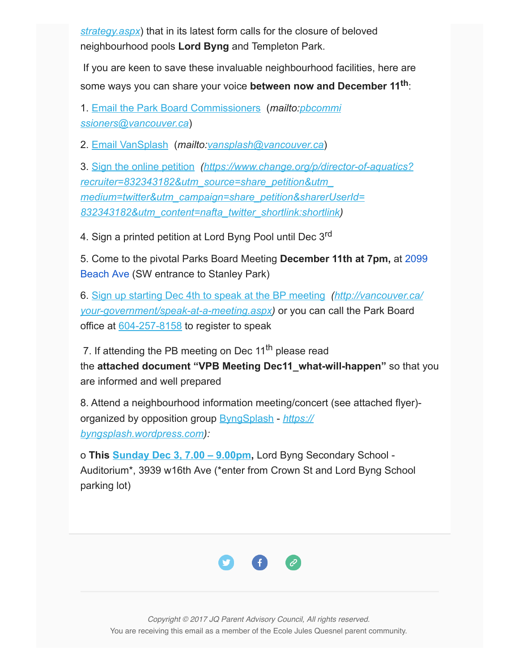*strategy.aspx*) that in its latest form calls for the closure of beloved neighbourhood pools **Lord Byng** and Templeton Park.

 If you are keen to save these invaluable neighbourhood facilities, here are some ways you can share your voice **between now and December 11th**:

1. Email the Park Board Commissioners (*mailto:pbcommi ssioners@vancouver.ca*)

2. Email VanSplash (*mailto:vansplash@vancouver.ca*)

3. Sign the online petition  *(https://www.change.org/p/directorofaquatics? recruiter=832343182&utm\_source=share\_petition&utm\_ medium=twitter&utm\_campaign=share\_petition&sharerUserId= 832343182&utm\_content=nafta\_twitter\_shortlink:shortlink)*

4. Sign a printed petition at Lord Byng Pool until Dec 3rd

5. Come to the pivotal Parks Board Meeting **December 11th at 7pm,** at 2099 Beach Ave (SW entrance to Stanley Park)

6. Sign up starting Dec 4th to speak at the BP meeting *(http://vancouver.ca/ your-government/speak-at-a-meeting.aspx)* or you can call the Park Board office at  $604-257-8158$  to register to speak

7. If attending the PB meeting on Dec  $11<sup>th</sup>$  please read the **attached document "VPB Meeting Dec11\_what-will-happen"** so that you are informed and well prepared

8. Attend a neighbourhood information meeting/concert (see attached flyer) organized by opposition group ByngSplash *https:// byngsplash.wordpress.com):*

o **This Sunday Dec 3, 7.00 – 9.00pm,** Lord Byng Secondary School Auditorium\*, 3939 w16th Ave (\*enter from Crown St and Lord Byng School parking lot)



Copyright © 2017 JQ Parent Advisory Council, All rights reserved. You are receiving this email as a member of the Ecole Jules Quesnel parent community.